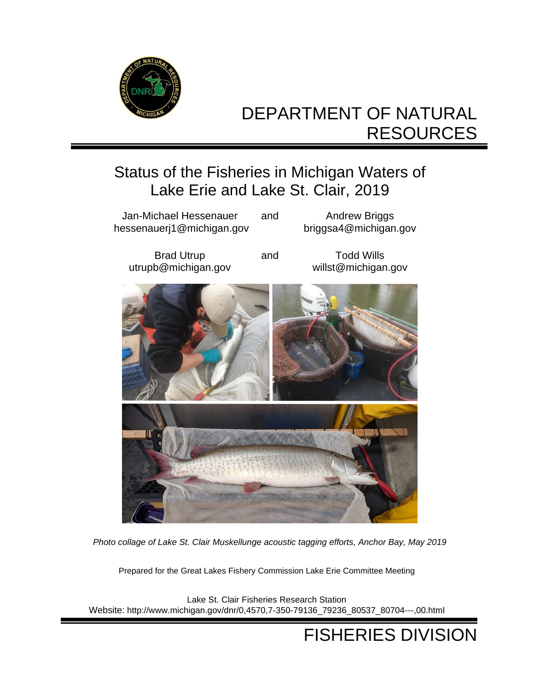

# DEPARTMENT OF NATURAL RESOURCES

# Status of the Fisheries in Michigan Waters of Lake Erie and Lake St. Clair, 2019



*Photo collage of Lake St. Clair Muskellunge acoustic tagging efforts, Anchor Bay, May 2019* 

Prepared for the Great Lakes Fishery Commission Lake Erie Committee Meeting

Lake St. Clair Fisheries Research Station Website: [http://www.michigan.gov/dnr/0,4570,7-350-79136\\_79236\\_80537\\_80704---,00.html](http://www.michigan.gov/dnr/0,4570,7-350-79136_79236_80537_80704---,00.html)

# FISHERIES DIVISION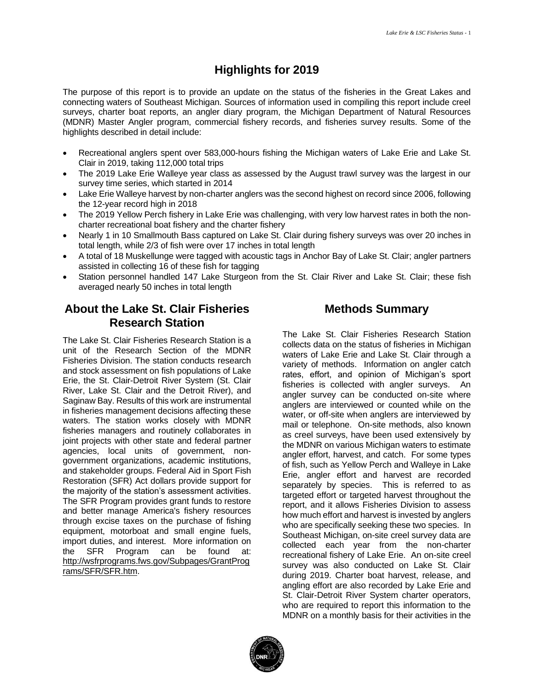## **Highlights for 2019**

 The purpose of this report is to provide an update on the status of the fisheries in the Great Lakes and connecting waters of Southeast Michigan. Sources of information used in compiling this report include creel surveys, charter boat reports, an angler diary program, the Michigan Department of Natural Resources (MDNR) Master Angler program, commercial fishery records, and fisheries survey results. Some of the highlights described in detail include:

- • Recreational anglers spent over 583,000-hours fishing the Michigan waters of Lake Erie and Lake St. Clair in 2019, taking 112,000 total trips
- • The 2019 Lake Erie Walleye year class as assessed by the August trawl survey was the largest in our survey time series, which started in 2014
- • Lake Erie Walleye harvest by non-charter anglers was the second highest on record since 2006, following the 12-year record high in 2018
- • The 2019 Yellow Perch fishery in Lake Erie was challenging, with very low harvest rates in both the non-charter recreational boat fishery and the charter fishery
- total length, while 2/3 of fish were over 17 inches in total length • Nearly 1 in 10 Smallmouth Bass captured on Lake St. Clair during fishery surveys was over 20 inches in
- • A total of 18 Muskellunge were tagged with acoustic tags in Anchor Bay of Lake St. Clair; angler partners assisted in collecting 16 of these fish for tagging
- • Station personnel handled 147 Lake Sturgeon from the St. Clair River and Lake St. Clair; these fish averaged nearly 50 inches in total length

## **About the Lake St. Clair Fisheries Research Station**

 The Lake St. Clair Fisheries Research Station is a unit of the Research Section of the MDNR Fisheries Division. The station conducts research and stock assessment on fish populations of Lake Erie, the St. Clair-Detroit River System (St. Clair River, Lake St. Clair and the Detroit River), and Saginaw Bay. Results of this work are instrumental in fisheries management decisions affecting these waters. The station works closely with MDNR joint projects with other state and federal partner agencies, local units of government, non- government organizations, academic institutions, Restoration (SFR) Act dollars provide support for the majority of the station's assessment activities. The SFR Program provides grant funds to restore and better manage America's fishery resources through excise taxes on the purchase of fishing import duties, and interest. More information on the SFR Program can be found at: fisheries managers and routinely collaborates in and stakeholder groups. Federal Aid in Sport Fish equipment, motorboat and small engine fuels, [http://wsfrprograms.fws.gov/Subpages/GrantProg](http://wsfrprograms.fws.gov/Subpages/GrantPrograms/SFR/SFR.htm)  [rams/SFR/SFR.htm.](http://wsfrprograms.fws.gov/Subpages/GrantPrograms/SFR/SFR.htm)

## **Methods Summary**

 The Lake St. Clair Fisheries Research Station collects data on the status of fisheries in Michigan waters of Lake Erie and Lake St. Clair through a variety of methods. Information on angler catch rates, effort, and opinion of Michigan's sport fisheries is collected with angler surveys. An angler survey can be conducted on-site where anglers are interviewed or counted while on the water, or off-site when anglers are interviewed by mail or telephone. On-site methods, also known as creel surveys, have been used extensively by the MDNR on various Michigan waters to estimate angler effort, harvest, and catch. For some types Erie, angler effort and harvest are recorded separately by species. This is referred to as targeted effort or targeted harvest throughout the report, and it allows Fisheries Division to assess how much effort and harvest is invested by anglers who are specifically seeking these two species. In Southeast Michigan, on-site creel survey data are collected each year from the non-charter recreational fishery of Lake Erie. An on-site creel survey was also conducted on Lake St. Clair during 2019. Charter boat harvest, release, and angling effort are also recorded by Lake Erie and St. Clair-Detroit River System charter operators, who are required to report this information to the MDNR on a monthly basis for their activities in the of fish, such as Yellow Perch and Walleye in Lake

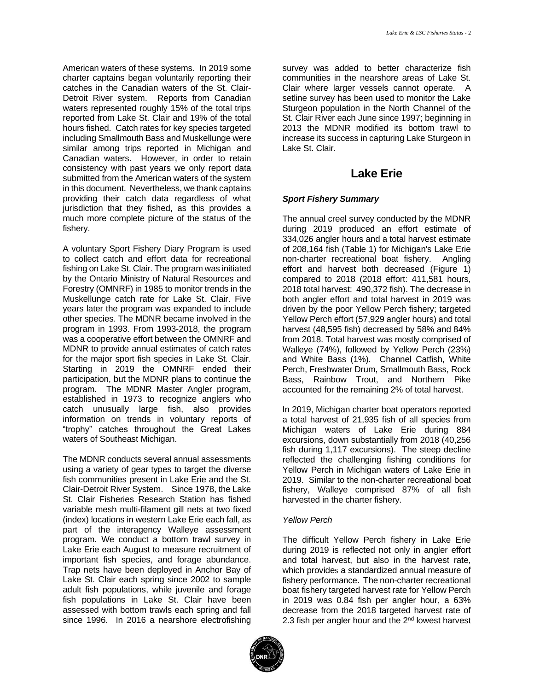American waters of these systems. In 2019 some charter captains began voluntarily reporting their catches in the Canadian waters of the St. Clair- Detroit River system. Reports from Canadian waters represented roughly 15% of the total trips reported from Lake St. Clair and 19% of the total hours fished. Catch rates for key species targeted including Smallmouth Bass and Muskellunge were similar among trips reported in Michigan and Canadian waters. However, in order to retain consistency with past years we only report data submitted from the American waters of the system in this document. Nevertheless, we thank captains providing their catch data regardless of what jurisdiction that they fished, as this provides a much more complete picture of the status of the fishery.

 A voluntary Sport Fishery Diary Program is used to collect catch and effort data for recreational fishing on Lake St. Clair. The program was initiated by the Ontario Ministry of Natural Resources and Forestry (OMNRF) in 1985 to monitor trends in the years later the program was expanded to include other species. The MDNR became involved in the program in 1993. From 1993-2018, the program was a cooperative effort between the OMNRF and MDNR to provide annual estimates of catch rates for the major sport fish species in Lake St. Clair. Starting in 2019 the OMNRF ended their participation, but the MDNR plans to continue the program. The MDNR Master Angler program, established in 1973 to recognize anglers who catch unusually large fish, also provides information on trends in voluntary reports of "trophy" catches throughout the Great Lakes Muskellunge catch rate for Lake St. Clair. Five waters of Southeast Michigan.

 The MDNR conducts several annual assessments using a variety of gear types to target the diverse fish communities present in Lake Erie and the St. Clair-Detroit River System. Since 1978, the Lake St. Clair Fisheries Research Station has fished variable mesh multi-filament gill nets at two fixed (index) locations in western Lake Erie each fall, as part of the interagency Walleye assessment program. We conduct a bottom trawl survey in Lake Erie each August to measure recruitment of important fish species, and forage abundance. Trap nets have been deployed in Anchor Bay of adult fish populations, while juvenile and forage assessed with bottom trawls each spring and fall since 1996. In 2016 a nearshore electrofishing Lake St. Clair each spring since 2002 to sample fish populations in Lake St. Clair have been

 survey was added to better characterize fish Clair where larger vessels cannot operate. A setline survey has been used to monitor the Lake Sturgeon population in the North Channel of the 2013 the MDNR modified its bottom trawl to increase its success in capturing Lake Sturgeon in communities in the nearshore areas of Lake St. St. Clair River each June since 1997; beginning in Lake St. Clair.

## **Lake Erie**

### *Sport Fishery Summary*

 The annual creel survey conducted by the MDNR during 2019 produced an effort estimate of of 208,164 fish (Table 1) for Michigan's Lake Erie non-charter recreational boat fishery. Angling compared to 2018 (2018 effort: 411,581 hours, both angler effort and total harvest in 2019 was driven by the poor Yellow Perch fishery; targeted Yellow Perch effort (57,929 angler hours) and total harvest (48,595 fish) decreased by 58% and 84% Walleye (74%), followed by Yellow Perch (23%) and White Bass (1%). Channel Catfish, White Perch, Freshwater Drum, Smallmouth Bass, Rock Bass, Rainbow Trout, and Northern Pike accounted for the remaining 2% of total harvest. 334,026 angler hours and a total harvest estimate effort and harvest both decreased (Figure 1) 2018 total harvest: 490,372 fish). The decrease in from 2018. Total harvest was mostly comprised of

 a total harvest of 21,935 fish of all species from Michigan waters of Lake Erie during 884 excursions, down substantially from 2018 (40,256 fish during 1,117 excursions). The steep decline reflected the challenging fishing conditions for 2019. Similar to the non-charter recreational boat fishery, Walleye comprised 87% of all fish harvested in the charter fishery. In 2019, Michigan charter boat operators reported Yellow Perch in Michigan waters of Lake Erie in

### *Yellow Perch*

 The difficult Yellow Perch fishery in Lake Erie during 2019 is reflected not only in angler effort and total harvest, but also in the harvest rate, which provides a standardized annual measure of fishery performance. The non-charter recreational boat fishery targeted harvest rate for Yellow Perch decrease from the 2018 targeted harvest rate of in 2019 was 0.84 fish per angler hour, a 63% 2.3 fish per angler hour and the  $2<sup>nd</sup>$  lowest harvest

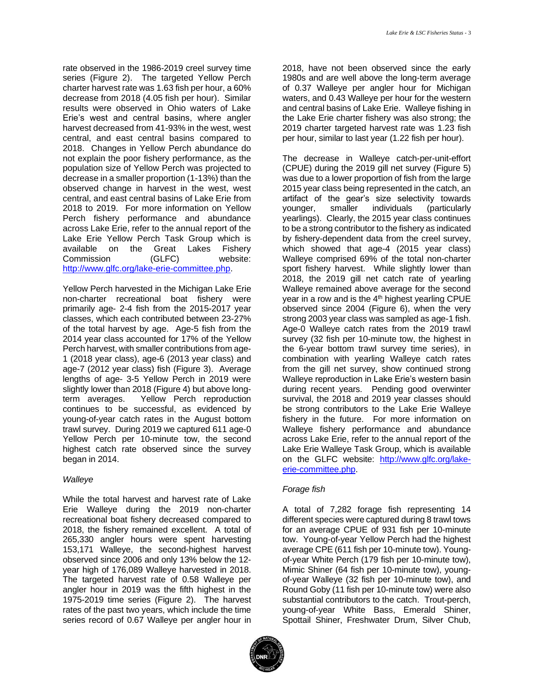rate observed in the 1986-2019 creel survey time charter harvest rate was 1.63 fish per hour, a 60% decrease from 2018 (4.05 fish per hour). Similar results were observed in Ohio waters of Lake Erie's west and central basins, where angler harvest decreased from 41-93% in the west, west 2018. Changes in Yellow Perch abundance do population size of Yellow Perch was projected to central, and east central basins of Lake Erie from 2018 to 2019. For more information on Yellow across Lake Erie, refer to the annual report of the Lake Erie Yellow Perch Task Group which is available on the Great Lakes Fishery series (Figure 2). The targeted Yellow Perch central, and east central basins compared to not explain the poor fishery performance, as the decrease in a smaller proportion (1-13%) than the observed change in harvest in the west, west Perch fishery performance and abundance Commission (GLFC) website: [http://www.glfc.org/lake-erie-committee.php.](http://www.glfc.org/lake-erie-committee.php)

 primarily age- 2-4 fish from the 2015-2017 year classes, which each contributed between 23-27% of the total harvest by age. Age-5 fish from the 2014 year class accounted for 17% of the Yellow Perch harvest, with smaller contributions from age- 1 (2018 year class), age-6 (2013 year class) and age-7 (2012 year class) fish (Figure 3). Average lengths of age- 3-5 Yellow Perch in 2019 were slightly lower than 2018 (Figure 4) but above longterm averages. continues to be successful, as evidenced by young-of-year catch rates in the August bottom trawl survey. During 2019 we captured 611 age-0 catch rate observed since the survey Yellow Perch harvested in the Michigan Lake Erie non-charter recreational boat fishery were Yellow Perch reproduction Yellow Perch per 10-minute tow, the second began in 2014.

### *Walleye*

 While the total harvest and harvest rate of Lake 2018, the fishery remained excellent. A total of 265,330 angler hours were spent harvesting year high of 176,089 Walleye harvested in 2018. angler hour in 2019 was the fifth highest in the rates of the past two years, which include the time series record of 0.67 Walleye per angler hour in Erie Walleye during the 2019 non-charter recreational boat fishery decreased compared to 153,171 Walleye, the second-highest harvest observed since 2006 and only 13% below the 12- The targeted harvest rate of 0.58 Walleye per 1975-2019 time series (Figure 2). The harvest

 2018, have not been observed since the early 1980s and are well above the long-term average of 0.37 Walleye per angler hour for Michigan waters, and 0.43 Walleye per hour for the western and central basins of Lake Erie. Walleye fishing in the Lake Erie charter fishery was also strong; the 2019 charter targeted harvest rate was 1.23 fish per hour, similar to last year (1.22 fish per hour).

 The decrease in Walleye catch-per-unit-effort (CPUE) during the 2019 gill net survey (Figure 5) was due to a lower proportion of fish from the large 2015 year class being represented in the catch, an artifact of the gear's size selectivity towards younger, to be a strong contributor to the fishery as indicated by fishery-dependent data from the creel survey, which showed that age-4 (2015 year class) sport fishery harvest. While slightly lower than 2018, the 2019 gill net catch rate of yearling Walleye remained above average for the second year in a row and is the 4<sup>th</sup> highest yearling CPUE observed since 2004 (Figure 6), when the very strong 2003 year class was sampled as age-1 fish. Age-0 Walleye catch rates from the 2019 trawl the 6-year bottom trawl survey time series), in combination with yearling Walleye catch rates Walleye reproduction in Lake Erie's western basin during recent years. Pending good overwinter fishery in the future. For more information on Walleye fishery performance and abundance across Lake Erie, refer to the annual report of the Lake Erie Walleye Task Group, which is available on the GLFC website: [http://www.glfc.org/lake](http://www.glfc.org/lake-erie-committee.php)smaller individuals (particularly yearlings). Clearly, the 2015 year class continues Walleye comprised 69% of the total non-charter survey (32 fish per 10-minute tow, the highest in from the gill net survey, show continued strong survival, the 2018 and 2019 year classes should be strong contributors to the Lake Erie Walleye [erie-committee.php.](http://www.glfc.org/lake-erie-committee.php)

### *Forage fish*

 A total of 7,282 forage fish representing 14 different species were captured during 8 trawl tows for an average CPUE of 931 fish per 10-minute tow. Young-of-year Yellow Perch had the highest average CPE (611 fish per 10-minute tow). Young- of-year Walleye (32 fish per 10-minute tow), and substantial contributors to the catch. Trout-perch, young-of-year White Bass, Emerald Shiner, of-year White Perch (179 fish per 10-minute tow), Mimic Shiner (64 fish per 10-minute tow), young-Round Goby (11 fish per 10-minute tow) were also Spottail Shiner, Freshwater Drum, Silver Chub,

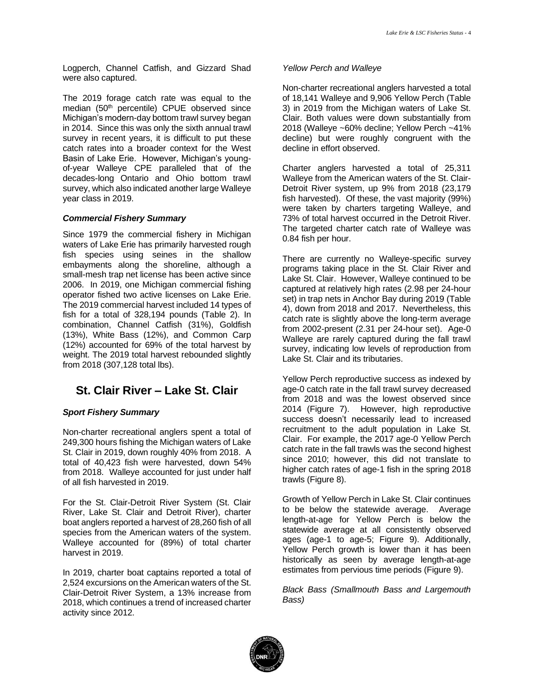Logperch, Channel Catfish, and Gizzard Shad were also captured.

 The 2019 forage catch rate was equal to the median (50<sup>th</sup> percentile) CPUE observed since Michigan's modern-day bottom trawl survey began in 2014. Since this was only the sixth annual trawl survey in recent years, it is difficult to put these catch rates into a broader context for the West Basin of Lake Erie. However, Michigan's young- of-year Walleye CPE paralleled that of the decades-long Ontario and Ohio bottom trawl survey, which also indicated another large Walleye year class in 2019.

#### *Commercial Fishery Summary*

 Since 1979 the commercial fishery in Michigan fish species using seines in the shallow embayments along the shoreline, although a operator fished two active licenses on Lake Erie. The 2019 commercial harvest included 14 types of fish for a total of 328,194 pounds (Table 2). In (12%) accounted for 69% of the total harvest by weight. The 2019 total harvest rebounded slightly waters of Lake Erie has primarily harvested rough small-mesh trap net license has been active since 2006. In 2019, one Michigan commercial fishing combination, Channel Catfish (31%), Goldfish (13%), White Bass (12%), and Common Carp from 2018 (307,128 total lbs).

## **St. Clair River – Lake St. Clair**

### *Sport Fishery Summary*

 Non-charter recreational anglers spent a total of 249,300 hours fishing the Michigan waters of Lake St. Clair in 2019, down roughly 40% from 2018. A total of 40,423 fish were harvested, down 54% from 2018. Walleye accounted for just under half of all fish harvested in 2019.

of all fish harvested in 2019.<br>For the St. Clair-Detroit River System (St. Clair River, Lake St. Clair and Detroit River), charter boat anglers reported a harvest of 28,260 fish of all species from the American waters of the system. Walleye accounted for (89%) of total charter harvest in 2019.

 In 2019, charter boat captains reported a total of 2,524 excursions on the American waters of the St. Clair-Detroit River System, a 13% increase from 2018, which continues a trend of increased charter activity since 2012.

#### *Yellow Perch and Walleye*

 Non-charter recreational anglers harvested a total of 18,141 Walleye and 9,906 Yellow Perch (Table 3) in 2019 from the Michigan waters of Lake St. Clair. Both values were down substantially from decline) but were roughly congruent with the decline in effort observed. 2018 (Walleye ~60% decline; Yellow Perch ~41%

decline in effort observed.<br>Charter anglers harvested a total of 25,311 Walleye from the American waters of the St. Clair- Detroit River system, up 9% from 2018 (23,179 fish harvested). Of these, the vast majority (99%) were taken by charters targeting Walleye, and 73% of total harvest occurred in the Detroit River. The targeted charter catch rate of Walleye was 0.84 fish per hour.

 There are currently no Walleye-specific survey programs taking place in the St. Clair River and Lake St. Clair. However, Walleye continued to be captured at relatively high rates (2.98 per 24-hour 4), down from 2018 and 2017. Nevertheless, this catch rate is slightly above the long-term average from 2002-present (2.31 per 24-hour set). Age-0 Walleye are rarely captured during the fall trawl Lake St. Clair and its tributaries. set) in trap nets in Anchor Bay during 2019 (Table survey, indicating low levels of reproduction from

 Yellow Perch reproductive success as indexed by age-0 catch rate in the fall trawl survey decreased from 2018 and was the lowest observed since 2014 (Figure 7). However, high reproductive recruitment to the adult population in Lake St. Clair. For example, the 2017 age-0 Yellow Perch catch rate in the fall trawls was the second highest since 2010; however, this did not translate to higher catch rates of age-1 fish in the spring 2018 success doesn't necessarily lead to increased trawls (Figure 8).

 Growth of Yellow Perch in Lake St. Clair continues to be below the statewide average. Average length-at-age for Yellow Perch is below the statewide average at all consistently observed ages (age-1 to age-5; Figure 9). Additionally, Yellow Perch growth is lower than it has been historically as seen by average length-at-age estimates from pervious time periods (Figure 9).

 *Black Bass (Smallmouth Bass and Largemouth Bass)* 

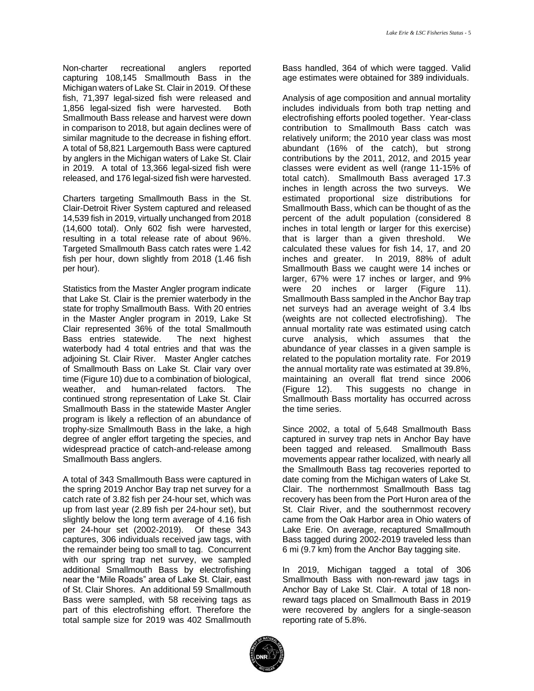Non-charter recreational anglers reported capturing 108,145 Smallmouth Bass in the Michigan waters of Lake St. Clair in 2019. Of these fish, 71,397 legal-sized fish were released and 1,856 legal-sized fish were harvested. Both in comparison to 2018, but again declines were of similar magnitude to the decrease in fishing effort. A total of 58,821 Largemouth Bass were captured by anglers in the Michigan waters of Lake St. Clair in 2019. A total of 13,366 legal-sized fish were released, and 176 legal-sized fish were harvested. Smallmouth Bass release and harvest were down

 Charters targeting Smallmouth Bass in the St. Clair-Detroit River System captured and released 14,539 fish in 2019, virtually unchanged from 2018 resulting in a total release rate of about 96%. Targeted Smallmouth Bass catch rates were 1.42 fish per hour, down slightly from 2018 (1.46 fish (14,600 total). Only 602 fish were harvested, per hour).

 Statistics from the Master Angler program indicate that Lake St. Clair is the premier waterbody in the state for trophy Smallmouth Bass. With 20 entries in the Master Angler program in 2019, Lake St waterbody had 4 total entries and that was the adjoining St. Clair River. Master Angler catches of Smallmouth Bass on Lake St. Clair vary over time (Figure 10) due to a combination of biological, continued strong representation of Lake St. Clair Smallmouth Bass in the statewide Master Angler program is likely a reflection of an abundance of trophy-size Smallmouth Bass in the lake, a high degree of angler effort targeting the species, and widespread practice of catch-and-release among Clair represented 36% of the total Smallmouth Bass entries statewide. The next highest weather, and human-related factors. The Smallmouth Bass anglers.

 the spring 2019 Anchor Bay trap net survey for a catch rate of 3.82 fish per 24-hour set, which was up from last year (2.89 fish per 24-hour set), but per 24-hour set (2002-2019). Of these 343 the remainder being too small to tag. Concurrent additional Smallmouth Bass by electrofishing Bass were sampled, with 58 receiving tags as A total of 343 Smallmouth Bass were captured in slightly below the long term average of 4.16 fish captures, 306 individuals received jaw tags, with with our spring trap net survey, we sampled near the "Mile Roads" area of Lake St. Clair, east of St. Clair Shores. An additional 59 Smallmouth part of this electrofishing effort. Therefore the total sample size for 2019 was 402 Smallmouth

Bass handled, 364 of which were tagged. Valid age estimates were obtained for 389 individuals.

 Analysis of age composition and annual mortality includes individuals from both trap netting and electrofishing efforts pooled together. Year-class relatively uniform; the 2010 year class was most abundant (16% of the catch), but strong contributions by the 2011, 2012, and 2015 year classes were evident as well (range 11-15% of total catch). Smallmouth Bass averaged 17.3 inches in length across the two surveys. We estimated proportional size distributions for inches in total length or larger for this exercise) that is larger than a given threshold. We calculated these values for fish 14, 17, and 20 Smallmouth Bass we caught were 14 inches or were 20 inches or larger (Figure 11). Smallmouth Bass sampled in the Anchor Bay trap net surveys had an average weight of 3.4 lbs (weights are not collected electrofishing). The annual mortality rate was estimated using catch curve analysis, which assumes that the abundance of year classes in a given sample is the annual mortality rate was estimated at 39.8%, maintaining an overall flat trend since 2006 (Figure 12). This suggests no change in Smallmouth Bass mortality has occurred across the time series. contribution to Smallmouth Bass catch was Smallmouth Bass, which can be thought of as the percent of the adult population (considered 8 inches and greater. In 2019, 88% of adult larger, 67% were 17 inches or larger, and 9% related to the population mortality rate. For 2019

the time series.<br>Since 2002, a total of 5,648 Smallmouth Bass captured in survey trap nets in Anchor Bay have been tagged and released. Smallmouth Bass movements appear rather localized, with nearly all date coming from the Michigan waters of Lake St. Clair. The northernmost Smallmouth Bass tag recovery has been from the Port Huron area of the St. Clair River, and the southernmost recovery came from the Oak Harbor area in Ohio waters of Lake Erie. On average, recaptured Smallmouth Bass tagged during 2002-2019 traveled less than 6 mi (9.7 km) from the Anchor Bay tagging site. the Smallmouth Bass tag recoveries reported to

 In 2019, Michigan tagged a total of 306 Smallmouth Bass with non-reward jaw tags in Anchor Bay of Lake St. Clair. A total of 18 non- reward tags placed on Smallmouth Bass in 2019 were recovered by anglers for a single-season reporting rate of 5.8%.

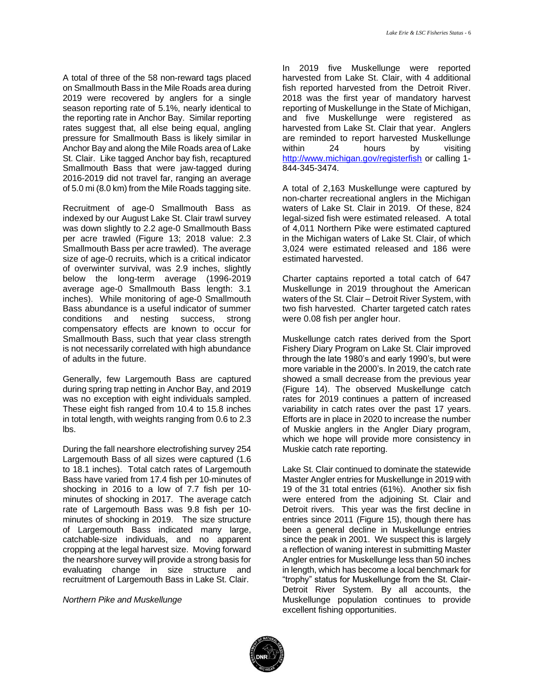A total of three of the 58 non-reward tags placed on Smallmouth Bass in the Mile Roads area during 2019 were recovered by anglers for a single season reporting rate of 5.1%, nearly identical to the reporting rate in Anchor Bay. Similar reporting rates suggest that, all else being equal, angling pressure for Smallmouth Bass is likely similar in Anchor Bay and along the Mile Roads area of Lake St. Clair. Like tagged Anchor bay fish, recaptured Smallmouth Bass that were jaw-tagged during 2016-2019 did not travel far, ranging an average of 5.0 mi (8.0 km) from the Mile Roads tagging site.

 Recruitment of age-0 Smallmouth Bass as indexed by our August Lake St. Clair trawl survey was down slightly to 2.2 age-0 Smallmouth Bass Smallmouth Bass per acre trawled). The average size of age-0 recruits, which is a critical indicator inches). While monitoring of age-0 Smallmouth Bass abundance is a useful indicator of summer compensatory effects are known to occur for is not necessarily correlated with high abundance of adults in the future. per acre trawled (Figure 13; 2018 value: 2.3 of overwinter survival, was 2.9 inches, slightly below the long-term average (1996-2019 average age-0 Smallmouth Bass length: 3.1 conditions and nesting success, strong Smallmouth Bass, such that year class strength

of adults in the future.<br>Generally, few Largemouth Bass are captured during spring trap netting in Anchor Bay, and 2019 was no exception with eight individuals sampled. in total length, with weights ranging from 0.6 to 2.3 These eight fish ranged from 10.4 to 15.8 inches lbs.

 During the fall nearshore electrofishing survey 254 Largemouth Bass of all sizes were captured (1.6 to 18.1 inches). Total catch rates of Largemouth Bass have varied from 17.4 fish per 10-minutes of shocking in 2016 to a low of 7.7 fish per 10- minutes of shocking in 2017. The average catch rate of Largemouth Bass was 9.8 fish per 10- minutes of shocking in 2019. The size structure of Largemouth Bass indicated many large, cropping at the legal harvest size. Moving forward the nearshore survey will provide a strong basis for evaluating change in size structure and recruitment of Largemouth Bass in Lake St. Clair. catchable-size individuals, and no apparent

*Northern Pike and Muskellunge* 

 fish reported harvested from the Detroit River. 2018 was the first year of mandatory harvest reporting of Muskellunge in the State of Michigan, hours In 2019 five Muskellunge were reported harvested from Lake St. Clair, with 4 additional and five Muskellunge were registered as harvested from Lake St. Clair that year. Anglers are reminded to report harvested Muskellunge within 24 hours by visiting <http://www.michigan.gov/registerfish>or calling 1- 844-345-3474.

 A total of 2,163 Muskellunge were captured by non-charter recreational anglers in the Michigan waters of Lake St. Clair in 2019. Of these, 824 legal-sized fish were estimated released. A total of 4,011 Northern Pike were estimated captured 3,024 were estimated released and 186 were estimated harvested. in the Michigan waters of Lake St. Clair, of which

estimated harvested.<br>Charter captains reported a total catch of 647 two fish harvested. Charter targeted catch rates Muskellunge in 2019 throughout the American waters of the St. Clair – Detroit River System, with were 0.08 fish per angler hour.

 Muskellunge catch rates derived from the Sport Fishery Diary Program on Lake St. Clair improved through the late 1980's and early 1990's, but were more variable in the 2000's. In 2019, the catch rate showed a small decrease from the previous year (Figure 14). The observed Muskellunge catch rates for 2019 continues a pattern of increased variability in catch rates over the past 17 years. Efforts are in place in 2020 to increase the number of Muskie anglers in the Angler Diary program, which we hope will provide more consistency in Muskie catch rate reporting.

 Lake St. Clair continued to dominate the statewide Master Angler entries for Muskellunge in 2019 with 19 of the 31 total entries (61%). Another six fish were entered from the adjoining St. Clair and Detroit rivers. This year was the first decline in entries since 2011 (Figure 15), though there has been a general decline in Muskellunge entries since the peak in 2001. We suspect this is largely a reflection of waning interest in submitting Master Angler entries for Muskellunge less than 50 inches in length, which has become a local benchmark for "trophy" status for Muskellunge from the St. Clair- Detroit River System. By all accounts, the Muskellunge population continues to provide excellent fishing opportunities.

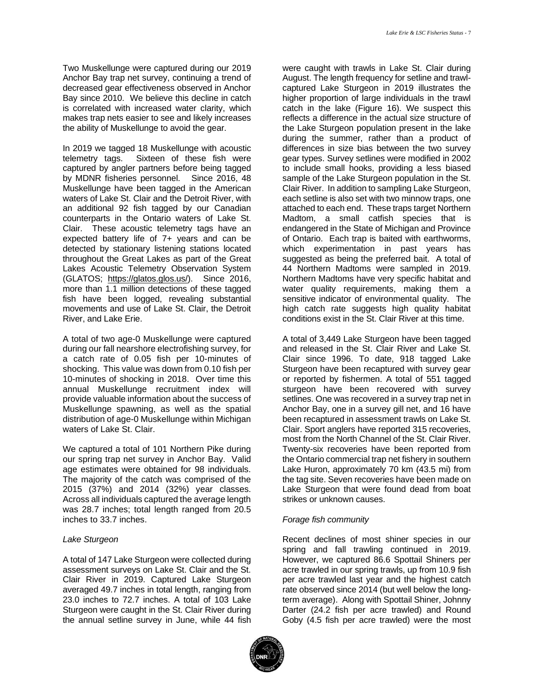Two Muskellunge were captured during our 2019 Anchor Bay trap net survey, continuing a trend of decreased gear effectiveness observed in Anchor Bay since 2010. We believe this decline in catch is correlated with increased water clarity, which makes trap nets easier to see and likely increases the ability of Muskellunge to avoid the gear.

 In 2019 we tagged 18 Muskellunge with acoustic telemetry tags. Sixteen of these fish were captured by angler partners before being tagged by MDNR fisheries personnel. Since 2016, 48 Muskellunge have been tagged in the American waters of Lake St. Clair and the Detroit River, with an additional 92 fish tagged by our Canadian counterparts in the Ontario waters of Lake St. Clair. These acoustic telemetry tags have an expected battery life of 7+ years and can be detected by stationary listening stations located throughout the Great Lakes as part of the Great Lakes Acoustic Telemetry Observation System (GLATOS; [https://glatos.glos.us/\)](https://glatos.glos.us/). Since 2016, fish have been logged, revealing substantial movements and use of Lake St. Clair, the Detroit more than 1.1 million detections of these tagged River, and Lake Erie.

 A total of two age-0 Muskellunge were captured shocking. This value was down from 0.10 fish per 10-minutes of shocking in 2018. Over time this annual Muskellunge recruitment index will provide valuable information about the success of Muskellunge spawning, as well as the spatial during our fall nearshore electrofishing survey, for a catch rate of 0.05 fish per 10-minutes of distribution of age-0 Muskellunge within Michigan waters of Lake St. Clair.

 We captured a total of 101 Northern Pike during our spring trap net survey in Anchor Bay. Valid age estimates were obtained for 98 individuals. The majority of the catch was comprised of the 2015 (37%) and 2014 (32%) year classes. 2015 (37%) and 2014 (32%) year classes. Across all individuals captured the average length was 28.7 inches; total length ranged from 20.5 inches to 33.7 inches.

#### *Lake Sturgeon*

 A total of 147 Lake Sturgeon were collected during assessment surveys on Lake St. Clair and the St. Clair River in 2019. Captured Lake Sturgeon averaged 49.7 inches in total length, ranging from 23.0 inches to 72.7 inches. A total of 103 Lake Sturgeon were caught in the St. Clair River during the annual setline survey in June, while 44 fish

 were caught with trawls in Lake St. Clair during August. The length frequency for setline and trawl- captured Lake Sturgeon in 2019 illustrates the higher proportion of large individuals in the trawl reflects a difference in the actual size structure of the Lake Sturgeon population present in the lake during the summer, rather than a product of differences in size bias between the two survey to include small hooks, providing a less biased sample of the Lake Sturgeon population in the St. Clair River. In addition to sampling Lake Sturgeon, each setline is also set with two minnow traps, one attached to each end. These traps target Northern Madtom, a small catfish species that is endangered in the State of Michigan and Province of Ontario. Each trap is baited with earthworms, which experimentation in past years has suggested as being the preferred bait. A total of 44 Northern Madtoms were sampled in 2019. Northern Madtoms have very specific habitat and water quality requirements, making them a sensitive indicator of environmental quality. The high catch rate suggests high quality habitat catch in the lake (Figure 16). We suspect this gear types. Survey setlines were modified in 2002 conditions exist in the St. Clair River at this time.

 A total of 3,449 Lake Sturgeon have been tagged and released in the St. Clair River and Lake St. Sturgeon have been recaptured with survey gear or reported by fishermen. A total of 551 tagged sturgeon have been recovered with survey setlines. One was recovered in a survey trap net in Anchor Bay, one in a survey gill net, and 16 have been recaptured in assessment trawls on Lake St. Clair. Sport anglers have reported 315 recoveries, most from the North Channel of the St. Clair River. Twenty-six recoveries have been reported from the Ontario commercial trap net fishery in southern Lake Huron, approximately 70 km (43.5 mi) from the tag site. Seven recoveries have been made on Clair since 1996. To date, 918 tagged Lake Lake Sturgeon that were found dead from boat strikes or unknown causes.

### *Forage fish community*

 Recent declines of most shiner species in our spring and fall trawling continued in 2019. However, we captured 86.6 Spottail Shiners per rate observed since 2014 (but well below the long- term average). Along with Spottail Shiner, Johnny Darter (24.2 fish per acre trawled) and Round Goby (4.5 fish per acre trawled) were the most acre trawled in our spring trawls, up from 10.9 fish per acre trawled last year and the highest catch

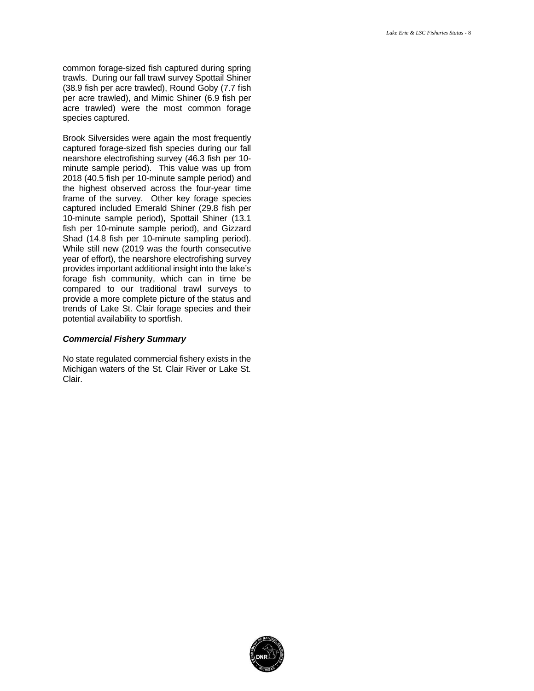common forage-sized fish captured during spring trawls. During our fall trawl survey Spottail Shiner acre trawled) were the most common forage species captured. (38.9 fish per acre trawled), Round Goby (7.7 fish per acre trawled), and Mimic Shiner (6.9 fish per

 Brook Silversides were again the most frequently captured forage-sized fish species during our fall nearshore electrofishing survey (46.3 fish per 10- minute sample period). This value was up from the highest observed across the four-year time frame of the survey. Other key forage species 10-minute sample period), Spottail Shiner (13.1 Shad (14.8 fish per 10-minute sampling period). provides important additional insight into the lake's forage fish community, which can in time be compared to our traditional trawl surveys to provide a more complete picture of the status and trends of Lake St. Clair forage species and their potential availability to sportfish. 2018 (40.5 fish per 10-minute sample period) and captured included Emerald Shiner (29.8 fish per fish per 10-minute sample period), and Gizzard While still new (2019 was the fourth consecutive year of effort), the nearshore electrofishing survey

#### *Commercial Fishery Summary*

 No state regulated commercial fishery exists in the Michigan waters of the St. Clair River or Lake St. Clair.

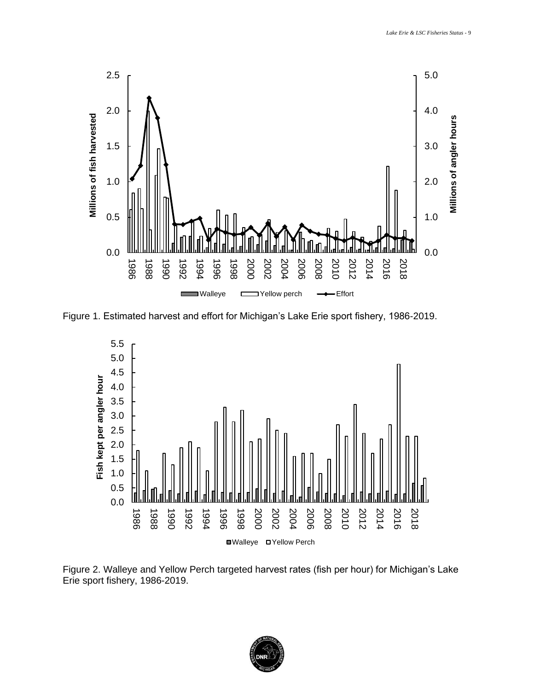<span id="page-9-0"></span>

Figure 1. Estimated harvest and effort for Michigan's Lake Erie sport fishery, 1986-2019.



 Figure 2. Walleye and Yellow Perch targeted harvest rates (fish per hour) for Michigan's Lake Erie sport fishery, 1986-2019.

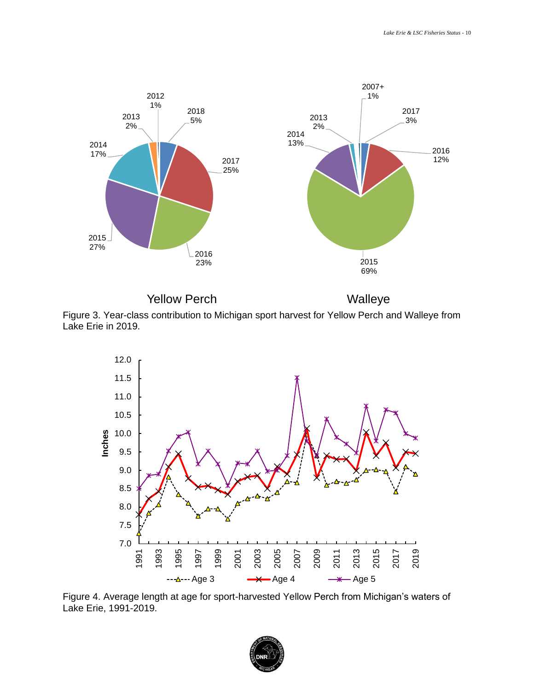

Yellow Perch Walleye

 Figure 3. Year-class contribution to Michigan sport harvest for Yellow Perch and Walleye from Lake Erie in 2019.



 Figure 4. Average length at age for sport-harvested Yellow Perch from Michigan's waters of Lake Erie, 1991-2019.

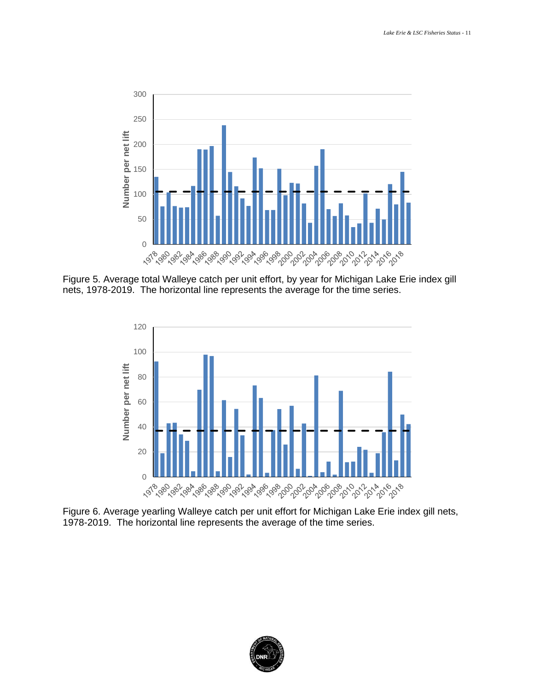

 Figure 5. Average total Walleye catch per unit effort, by year for Michigan Lake Erie index gill nets, 1978-2019. The horizontal line represents the average for the time series.



 Figure 6. Average yearling Walleye catch per unit effort for Michigan Lake Erie index gill nets, 1978-2019. The horizontal line represents the average of the time series.

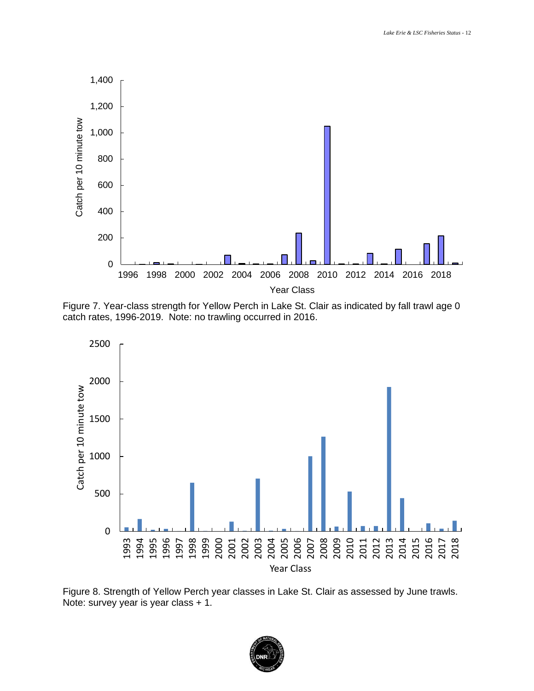

 Figure 7. Year-class strength for Yellow Perch in Lake St. Clair as indicated by fall trawl age 0 catch rates, 1996-2019. Note: no trawling occurred in 2016.



 Figure 8. Strength of Yellow Perch year classes in Lake St. Clair as assessed by June trawls. Note: survey year is year class + 1.

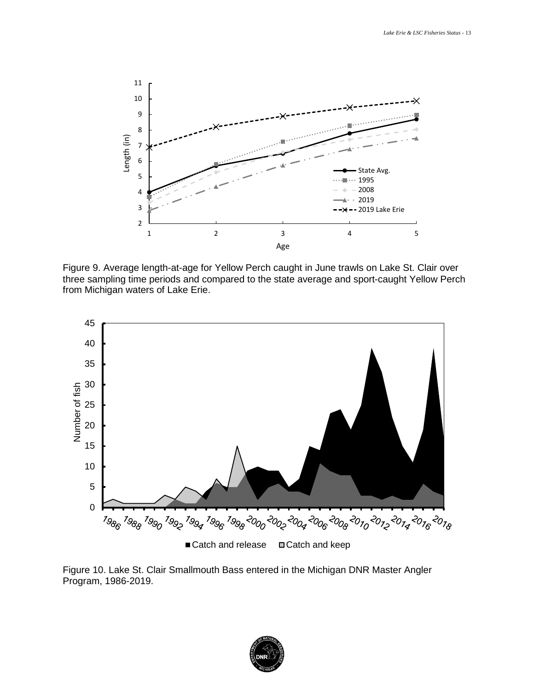

 Figure 9. Average length-at-age for Yellow Perch caught in June trawls on Lake St. Clair over three sampling time periods and compared to the state average and sport-caught Yellow Perch from Michigan waters of Lake Erie.



 Figure 10. Lake St. Clair Smallmouth Bass entered in the Michigan DNR Master Angler Program, 1986-2019.

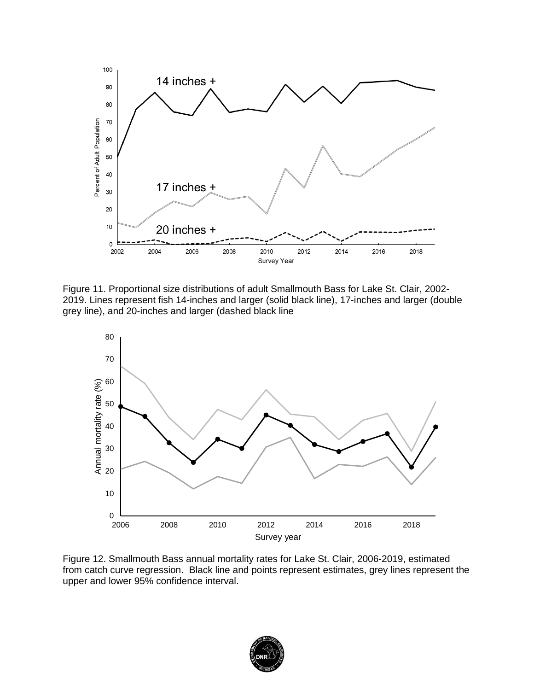

Figure 11. Proportional size distributions of adult Smallmouth Bass for Lake St. Clair, 2002- 2019. Lines represent fish 14-inches and larger (solid black line), 17-inches and larger (double grey line), and 20-inches and larger (dashed black line



Figure 12. Smallmouth Bass annual mortality rates for Lake St. Clair, 2006-2019, estimated from catch curve regression. Black line and points represent estimates, grey lines represent the upper and lower 95% confidence interval.

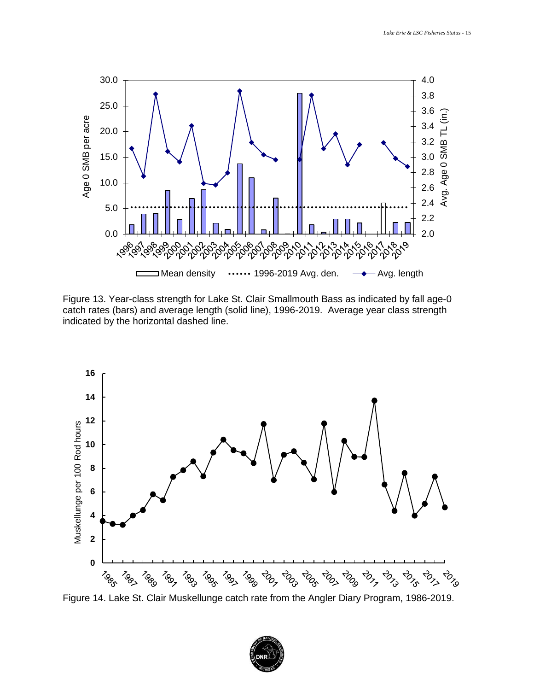

 Figure 13. Year-class strength for Lake St. Clair Smallmouth Bass as indicated by fall age-0 catch rates (bars) and average length (solid line), 1996-2019. Average year class strength indicated by the horizontal dashed line.



Figure 14. Lake St. Clair Muskellunge catch rate from the Angler Diary Program, 1986-2019.

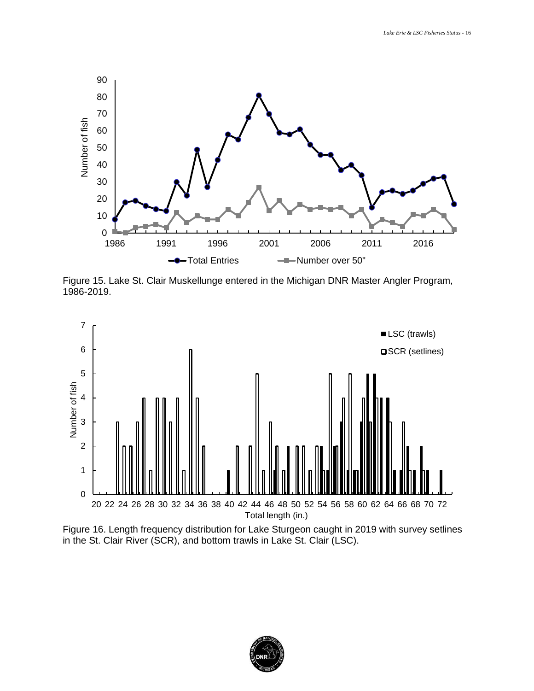

1986-2019.



 Figure 16. Length frequency distribution for Lake Sturgeon caught in 2019 with survey setlines in the St. Clair River (SCR), and bottom trawls in Lake St. Clair (LSC).

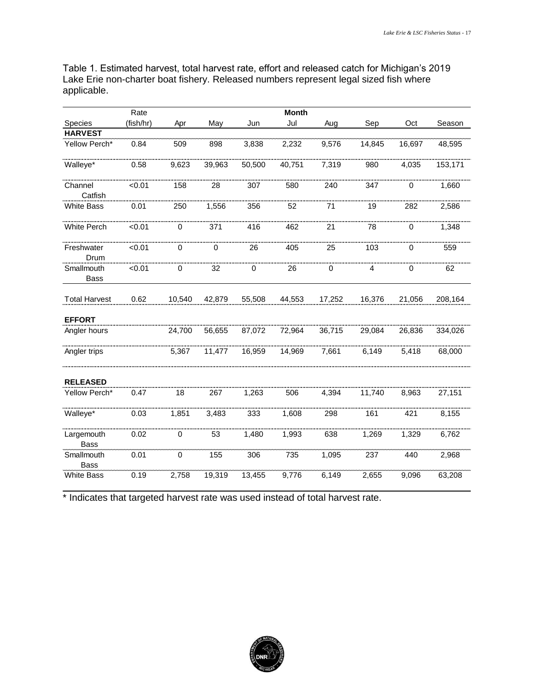Table 1. Estimated harvest, total harvest rate, effort and released catch for Michigan's 2019 applicable.

| Lake Erie non-charter boat fishery. Released numbers represent legal sized fish where<br>applicable. |           |             |        |        |              |        |        |        |         |  |
|------------------------------------------------------------------------------------------------------|-----------|-------------|--------|--------|--------------|--------|--------|--------|---------|--|
|                                                                                                      | Rate      |             |        |        | <b>Month</b> |        |        |        |         |  |
| Species                                                                                              | (fish/hr) | Apr         | May    | Jun    | Jul          | Aug    | Sep    | Oct    | Season  |  |
| <b>HARVEST</b>                                                                                       |           |             |        |        |              |        |        |        |         |  |
| Yellow Perch*                                                                                        | 0.84      | 509         | 898    | 3,838  | 2,232        | 9,576  | 14,845 | 16,697 | 48,595  |  |
| Walleye*                                                                                             | 0.58      | 9,623       | 39,963 | 50,500 | 40,751       | 7,319  | 980    | 4,035  | 153,171 |  |
| Channel<br>Catfish                                                                                   | < 0.01    | 158         | 28     | 307    | 580          | 240    | 347    | 0      | 1,660   |  |
| White Bass                                                                                           | 0.01      | 250         | 1,556  | 356    | 52           | 71     | 19     | 282    | 2,586   |  |
| White Perch                                                                                          | < 0.01    | 0           | 371    | 416    | 462          | 21     | 78     | 0      | 1,348   |  |
| Freshwater<br>Drum                                                                                   | < 0.01    | 0           |        | 26     | 405          | 25     | 103    | 0      | 559     |  |
| Smallmouth<br>Bass                                                                                   | < 0.01    | 0<br>32     |        | 0      | 26           | 0      | 4      | 0      | 62      |  |
| <b>Total Harvest</b>                                                                                 | 0.62      | 10,540      | 42,879 | 55,508 | 44,553       | 17,252 | 16,376 | 21,056 | 208,164 |  |
| <b>EFFORT</b>                                                                                        |           |             |        |        |              |        |        |        |         |  |
| Angler hours                                                                                         |           | 24,700      | 56,655 | 87,072 | 72,964       | 36,715 | 29,084 | 26,836 | 334,026 |  |
| Angler trips                                                                                         |           | 5,367       | 11,477 | 16,959 | 14,969       | 7,661  | 6,149  | 5,418  | 68,000  |  |
| <b>RELEASED</b>                                                                                      |           |             |        |        |              |        |        |        |         |  |
| Yellow Perch*                                                                                        | 0.47      | 18          | 267    | 1,263  | 506          | 4,394  | 11,740 | 8,963  | 27,151  |  |
| Walleye*                                                                                             | 0.03      | 1,851       | 3,483  | 333    | 1,608        | 298    | 161    | 421    | 8,155   |  |
| Largemouth<br><b>Bass</b>                                                                            | 0.02      | 0           | 53     | 1,480  | 1,993        | 638    | 1,269  | 1,329  | 6,762   |  |
| Smallmouth<br>Bass                                                                                   | 0.01      | $\mathbf 0$ | 155    | 306    | 735          | 1,095  | 237    | 440    | 2,968   |  |
| <b>White Bass</b>                                                                                    | 0.19      | 2,758       | 19,319 | 13,455 | 9,776        | 6,149  | 2,655  | 9,096  | 63,208  |  |

\* Indicates that targeted harvest rate was used instead of total harvest rate.

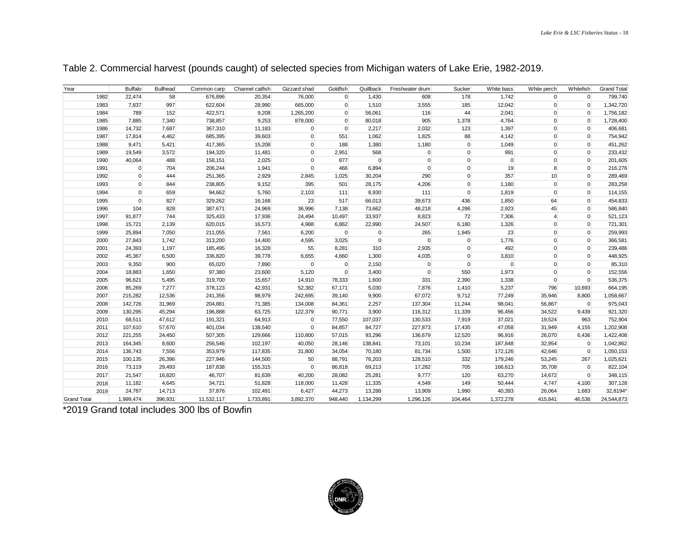| Year               |              | <b>Buffalo</b>              | <b>Bullhead</b> | Common carp        | Channel catfish    | Gizzard shad      | Goldfish         | Quillback         | Freshwater drum   | Sucker                     | White bass        | White perch         | Whitefish                    | <b>Grand Total</b>     |
|--------------------|--------------|-----------------------------|-----------------|--------------------|--------------------|-------------------|------------------|-------------------|-------------------|----------------------------|-------------------|---------------------|------------------------------|------------------------|
|                    | 1982         | 22,474                      | 58              | 676,896            | 20,354             | 76,000            | $\overline{0}$   | 1,430             | 608               | 178                        | 1.742             | $\overline{0}$      | $\overline{0}$               | 799,740                |
|                    | 1983         | 7,837                       | 997             | 622,604            | 28,990             | 665,000           | $\overline{0}$   | 1,510             | 3,555             | 185                        | 12,042            | $\mathsf{O}\xspace$ | $\mathbf{0}$                 | 1,342,720              |
|                    | 1984         | 789                         | 152             | 422,571            | 9,208              | 1,265,200         | $\overline{0}$   | 56,061            | 116               | 44                         | 2,041             | $\overline{0}$      | $\mathbf{0}$                 | 1,756,182              |
|                    | 1985         | 7,885                       | 7,340           | 738,857            | 9,253              | 878,000           | $\overline{0}$   | 80,018            | 905               | 1,378                      | 4,764             | $\overline{0}$      | $\mathbf{0}$                 | 1,728,400              |
|                    | 1986         | 14,732                      | 7,687           | 367,310            | 11,183             | $\overline{0}$    | $\Omega$         | 2,217             | 2,032             | 123                        | 1,397             | $\overline{0}$      | $\mathbf{0}$                 | 406,681                |
|                    | 1987         | 17,814                      | 4,462           | 685,395            | 39,603             | $\overline{0}$    | 551              | 1,062             | 1,825             | 88                         | 4,142             | $\overline{0}$      | $\mathbf{0}$                 | 754,942                |
|                    | 1988         | 9,471                       | 5,421           | 417,365            | 15,208             | $\overline{0}$    | 188              | 1,380             | 1,180             | $\Omega$                   | 1,049             | $\overline{0}$      | $\mathbf{0}$                 | 451,262                |
|                    | 1989         | 19,549                      | 3,572           | 194,320            | 11,481             | $\overline{0}$    | 2,951            | 568               | $\Omega$          | $\Omega$                   | 991               | $\overline{0}$      | $\mathbf{0}$                 | 233,432                |
|                    | 1990         | 40,064                      | 488             | 158,151            | 2,025              | $\overline{0}$    | 877              | $\Omega$          | $\mathbf{0}$      | $\mathbf 0$                | $\mathbf 0$       | $\overline{0}$      | $\mathbf{0}$                 | 201,605                |
|                    | 1991         | $\pmb{0}$                   | 704             | 206,244            | 1,941              | $\overline{0}$    | 466              | 6,894             | $\Omega$          | $\Omega$                   | 19                | $\bf{8}$            | $\mathbf{0}$                 | 216,276                |
|                    | 1992<br>1993 | $\mathbf 0$<br>$\mathbf{0}$ | 444             | 251,365<br>238,805 | 2,929              | 2,845             | 1,025            | 30,204<br>28,175  | 290<br>4,206      | $\mathbf 0$<br>$\mathbf 0$ | 357<br>1,180      | 10<br>$\Omega$      | $\mathbf{0}$<br>$\mathbf{0}$ | 289,469<br>283,258     |
|                    | 1994         | $\pmb{0}$                   | 844<br>659      | 94,662             | 9,152<br>5,760     | 395               | 501<br>111       | 8,930             | 111               | $\mathbf 0$                | 1,819             | $\overline{0}$      | $\mathbf{0}$                 | 114,155                |
|                    | 1995         | $\mathbf 0$                 | 827             | 329,262            | 16,168             | 2,103<br>23       | 517              | 66,013            | 39,673            | 436                        | 1,850             | 64                  | $\mathbf{0}$                 | 454,833                |
|                    | 1996         | 104                         | 828             | 387,671            | 24,969             | 36,996            | 7,138            | 73,662            | 48,218            | 4,286                      | 2,923             | 45                  | $\Omega$                     | 586,840                |
|                    | 1997         | 91,877                      | 744             | 325,433            | 17,936             | 24,494            | 10,497           | 33,937            | 8,823             | 72                         | 7,306             | $\overline{4}$      | $\mathbf{0}$                 | 521,123                |
|                    | 1998         | 15,721                      | 2,139           | 620,015            | 16,573             | 4,988             | 6,862            | 22,990            | 24,507            | 6,180                      | 1,326             | $\Omega$            | $\mathbf{0}$                 | 721,301                |
|                    | 1999         | 25,894                      | 7,050           | 211,055            | 7,561              | 6,200             | $\overline{0}$   | $\mathbf{0}$      | 265               | 1,945                      | 23                | $\overline{0}$      | $\mathbf{0}$                 | 259,993                |
|                    | 2000         | 27,843                      | 1,742           | 313,200            | 14,400             | 4,595             | 3,025            | $\Omega$          | $\Omega$          | $\overline{0}$             | 1,776             | $\overline{0}$      | $\Omega$                     | 366,581                |
|                    | 2001         | 24,393                      | 1,197           | 185,495            | 16,328             | 55                | 8,281            | 310               | 2,935             | $\mathbf 0$                | 492               | $\overline{0}$      | $\mathbf{0}$                 | 239,486                |
|                    | 2002         | 45,367                      | 6,500           | 336,820            | 39,778             | 6,655             | 4,660            | 1,300             | 4,035             | $\mathbf 0$                | 3,810             | $\Omega$            | $\mathbf{0}$                 | 448,925                |
|                    | 2003         | 9,350                       | 900             | 65,020             | 7,890              | $\Omega$          | $\overline{0}$   | 2,150             | $\Omega$          | $\mathbf 0$                | $\mathbf{0}$      | $\overline{0}$      | $\mathbf{0}$                 | 85,310                 |
|                    | 2004         | 18,883                      | 1,650           | 97,380             | 23,600             | 5,120             | $\overline{0}$   | 3,400             | $\Omega$          | 550                        | 1,973             | $\overline{0}$      | $\Omega$                     | 152,556                |
|                    | 2005         | 96,621                      | 5,495           | 319,700            | 15,657             | 14,910            | 78,333           | 1,600             | 331               | 2,390                      | 1,338             | $\Omega$            | $\overline{0}$               | 536,375                |
|                    | 2006         | 85,269                      | 7,277           | 378,123            | 42,931             | 52,382            | 67,171           | 5,030             | 7,876             | 1,410                      | 5,237             | 796                 | 10,693                       | 664,195                |
|                    | 2007         | 215,282                     | 12,536          | 241,356            | 98,979             | 242,695           | 39,140           | 9,900             | 67,072            | 9,712                      | 77,249            | 35,946              | 8,800                        | 1,058,667              |
|                    | 2008         | 142,726                     | 31,969          | 204,881            | 71,385             | 134,008           | 84,361           | 2,257             | 137,304           | 11,244                     | 98,041            | 56,867              | $\mathbf{0}$                 | 975,043                |
|                    | 2009         | 130,295                     | 45,294          | 196,888            | 63,725             | 122,379           | 90,771           | 3,900             | 116,312           | 11,339                     | 96,456            | 34,522              | 9,439                        | 921,320                |
|                    | 2010         | 68,511                      | 47,612          | 191,321            | 64,913             | $\overline{0}$    | 77,550           | 107,037           | 130,533           | 7,919                      | 37,021            | 19,524              | 963                          | 752,904                |
|                    | 2011         | 107,610                     | 57,670          | 401,034            | 138,540            | $\overline{0}$    | 84,857           | 84,727            | 227,873           | 17,435                     | 47,058            | 31,949              | 4,155                        | 1,202,908              |
|                    | 2012<br>2013 | 221,255<br>164,345          | 24,450<br>8,600 | 507,305<br>256,546 | 129,666<br>102,197 | 110,800<br>40,050 | 57,015<br>28,146 | 93,296<br>138,841 | 136,679<br>73,101 | 12,520<br>10,234           | 96,916<br>187,848 | 26,070<br>32,954    | 6,436<br>$\mathbf{0}$        | 1,422,408<br>1,042,862 |
|                    | 2014         | 136,743                     | 7,556           | 353,979            | 117,835            | 31,800            | 34,054           | 70,180            | 81,734            | 1,500                      | 172,126           | 42,646              | $\mathbf{0}$                 | 1,050,153              |
|                    | 2015         | 100,135                     | 26,396          | 227,946            | 144,500            | 50                | 88,791           | 76,203            | 128,510           | 332                        | 179,246           | 53,245              | 267                          | 1,025,621              |
|                    | 2016         | 73,119                      | 29,493          | 187,838            | 155,315            | $\overline{0}$    | 86,818           | 69,213            | 17,282            | 705                        | 166,613           | 35,708              | $\mathbf{0}$                 | 822,104                |
|                    | 2017         | 21,547                      | 16,820          | 46,707             | 81,639             | 40,200            | 28,082           | 25,281            | 9,777             | 120                        | 63,270            | 14,672              | $\overline{0}$               | 348,115                |
|                    | 2018         | 11,182                      | 4,645           | 34,721             | 51,828             | 118,000           | 11,428           | 11,335            | 4,549             | 149                        | 50,444            | 4,747               | 4,100                        | 307,128                |
|                    | 2019         | 24,787                      | 14,713          | 37,876             | 102,491            | 6,427             | 44,273           | 13,288            | 13,909            | 1,990                      | 40,393            | 26,064              | 1,683                        | 32,8194*               |
| <b>Grand Total</b> |              | 1,999,474                   | 396,931         | 11,532,117         | 1,733,891          | 3,892,370         | 948,440          | 1,134,299         | 1,296,126         | 104,464                    | 1,372,278         | 415,841             | 46,536                       | 24,544,873             |

Table 2. Commercial harvest (pounds caught) of selected species from Michigan waters of Lake Erie, 1982-2019.

\*2019 Grand total includes 300 lbs of Bowfin

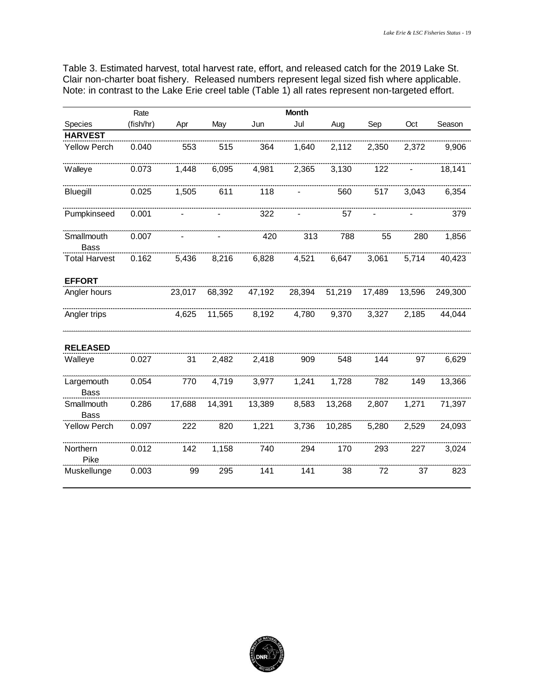Table 3. Estimated harvest, total harvest rate, effort, and released catch for the 2019 Lake St. Clair non-charter boat fishery. Released numbers represent legal sized fish where applicable.

|                           | Rate      |        |        |        |        |        |        |        |         |
|---------------------------|-----------|--------|--------|--------|--------|--------|--------|--------|---------|
| Species                   | (fish/hr) | Apr    | May    | Jun    | Jul    | Aug    | Sep    | Oct    | Season  |
| <b>HARVEST</b>            |           |        |        |        |        |        |        |        |         |
| <b>Yellow Perch</b>       | 0.040     | 553    | 515    | 364    | 1,640  | 2,112  | 2,350  | 2,372  | 9,906   |
| Walleye                   | 0.073     | 1,448  | 6,095  | 4,981  | 2,365  | 3,130  | 122    |        | 18,141  |
| Bluegill                  | 0.025     | 1,505  | 611    | 118    |        | 560    | 517    | 3,043  | 6,354   |
| Pumpkinseed               | 0.001     |        |        | 322    |        | 57     |        |        | 379     |
| Smallmouth<br><b>Bass</b> | 0.007     |        |        | 420    | 313    | 788    | 55     | 280    | 1,856   |
| <b>Total Harvest</b>      | 0.162     | 5,436  | 8,216  | 6,828  | 4,521  | 6,647  | 3,061  | 5,714  | 40,423  |
| <b>EFFORT</b>             |           |        |        |        |        |        |        |        |         |
| Angler hours              |           | 23,017 | 68,392 | 47,192 | 28,394 | 51,219 | 17,489 | 13,596 | 249,300 |
| Angler trips              |           | 4,625  | 11,565 | 8,192  | 4,780  | 9,370  | 3,327  | 2,185  | 44,044  |
| <b>RELEASED</b>           |           |        |        |        |        |        |        |        |         |
| Walleye                   | 0.027     | 31     | 2,482  | 2,418  | 909    | 548    | 144    | 97     | 6,629   |
| Largemouth<br><b>Bass</b> | 0.054     | 770    | 4,719  | 3,977  | 1,241  | 1,728  | 782    | 149    | 13,366  |
| Smallmouth<br><b>Bass</b> | 0.286     | 17,688 | 14,391 | 13,389 | 8,583  | 13,268 | 2,807  | 1,271  | 71,397  |
| <b>Yellow Perch</b>       | 0.097     | 222    | 820    | 1,221  | 3,736  | 10,285 | 5,280  | 2,529  | 24,093  |
| Northern<br>Pike          | 0.012     | 142    | 1,158  | 740    | 294    | 170    | 293    | 227    | 3,024   |
| Muskellunge               | 0.003     | 99     | 295    | 141    | 141    | 38     | 72     | 37     | 823     |

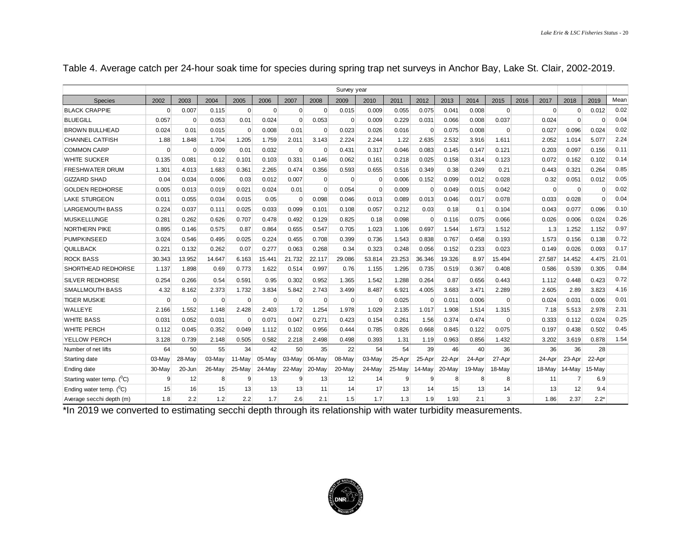|                                        |                |          |          |             |             |                |             | Survey year |          |        |             |        |        |                |      |             |                |          |       |
|----------------------------------------|----------------|----------|----------|-------------|-------------|----------------|-------------|-------------|----------|--------|-------------|--------|--------|----------------|------|-------------|----------------|----------|-------|
| <b>Species</b>                         | 2002           | 2003     | 2004     | 2005        | 2006        | 2007           | 2008        | 2009        | 2010     | 2011   | 2012        | 2013   | 2014   | 2015           | 2016 | 2017        | 2018           | 2019     | Mean  |
| <b>BLACK CRAPPIE</b>                   | $\Omega$       | 0.007    | 0.115    | $\Omega$    | $\mathbf 0$ | $\overline{0}$ | $\Omega$    | 0.015       | 0.009    | 0.055  | 0.075       | 0.041  | 0.008  | $\Omega$       |      | $\Omega$    | $\mathbf 0$    | 0.012    | 0.02  |
| <b>BLUEGILL</b>                        | 0.057          | $\Omega$ | 0.053    | 0.01        | 0.024       | $\Omega$       | 0.053       | $\mathbf 0$ | 0.009    | 0.229  | 0.031       | 0.066  | 0.008  | 0.037          |      | 0.024       | $\Omega$       | $\Omega$ | 0.04  |
| <b>BROWN BULLHEAD</b>                  | 0.024          | 0.01     | 0.015    | $\mathbf 0$ | 0.008       | 0.01           | $\mathbf 0$ | 0.023       | 0.026    | 0.016  | $\mathbf 0$ | 0.075  | 0.008  | $\overline{0}$ |      | 0.027       | 0.096          | 0.024    | 0.02  |
| <b>CHANNEL CATFISH</b>                 | 1.88           | 1.848    | 1.704    | 1.205       | 1.759       | 2.011          | 3.143       | 2.224       | 2.244    | 1.22   | 2.635       | 2.532  | 3.916  | 1.611          |      | 2.052       | 1.014          | 5.077    | 2.24  |
| <b>COMMON CARP</b>                     | $\Omega$       | $\Omega$ | 0.009    | 0.01        | 0.032       | $\Omega$       | $\Omega$    | 0.431       | 0.317    | 0.046  | 0.083       | 0.145  | 0.147  | 0.121          |      | 0.203       | 0.097          | 0.156    | 0.11  |
| <b>WHITE SUCKER</b>                    | 0.135          | 0.081    | 0.12     | 0.101       | 0.103       | 0.331          | 0.146       | 0.062       | 0.161    | 0.218  | 0.025       | 0.158  | 0.314  | 0.123          |      | 0.072       | 0.162          | 0.102    | 0.14  |
| <b>FRESHWATER DRUM</b>                 | 1.301          | 4.013    | 1.683    | 0.361       | 2.265       | 0.474          | 0.356       | 0.593       | 0.655    | 0.516  | 0.349       | 0.38   | 0.249  | 0.21           |      | 0.443       | 0.321          | 0.264    | 0.85  |
| <b>GIZZARD SHAD</b>                    | 0.04           | 0.034    | 0.006    | 0.03        | 0.012       | 0.007          | $\mathbf 0$ | $\mathbf 0$ | $\Omega$ | 0.006  | 0.152       | 0.099  | 0.012  | 0.028          |      | 0.32        | 0.051          | 0.012    | 0.05  |
| <b>GOLDEN REDHORSE</b>                 | 0.005          | 0.013    | 0.019    | 0.021       | 0.024       | 0.01           | $\mathbf 0$ | 0.054       | $\Omega$ | 0.009  | $\mathbf 0$ | 0.049  | 0.015  | 0.042          |      | $\mathbf 0$ | $\mathbf 0$    | $\Omega$ | 0.02  |
| <b>LAKE STURGEON</b>                   | 0.011          | 0.055    | 0.034    | 0.015       | 0.05        | $\overline{0}$ | 0.098       | 0.046       | 0.013    | 0.089  | 0.013       | 0.046  | 0.017  | 0.078          |      | 0.033       | 0.028          | $\Omega$ | 0.04  |
| LARGEMOUTH BASS                        | 0.224          | 0.037    | 0.111    | 0.025       | 0.033       | 0.099          | 0.101       | 0.108       | 0.057    | 0.212  | 0.03        | 0.18   | 0.1    | 0.104          |      | 0.043       | 0.077          | 0.096    | 0.10  |
| MUSKELLUNGE                            | $0.28^{\circ}$ | 0.262    | 0.626    | 0.707       | 0.478       | 0.492          | 0.129       | 0.825       | 0.18     | 0.098  | $\Omega$    | 0.116  | 0.075  | 0.066          |      | 0.026       | 0.006          | 0.024    | 0.26  |
| <b>NORTHERN PIKE</b>                   | 0.895          | 0.146    | 0.575    | 0.87        | 0.864       | 0.655          | 0.547       | 0.705       | 1.023    | 1.106  | 0.697       | 1.544  | 1.673  | 1.512          |      | 1.3         | 1.252          | 1.152    | 0.97  |
| <b>PUMPKINSEED</b>                     | 3.024          | 0.546    | 0.495    | 0.025       | 0.224       | 0.455          | 0.708       | 0.399       | 0.736    | 1.543  | 0.838       | 0.767  | 0.458  | 0.193          |      | 1.573       | 0.156          | 0.138    | 0.72  |
| <b>QUILLBACK</b>                       | 0.221          | 0.132    | 0.262    | 0.07        | 0.277       | 0.063          | 0.268       | 0.34        | 0.323    | 0.248  | 0.056       | 0.152  | 0.233  | 0.023          |      | 0.149       | 0.026          | 0.093    | 0.17  |
| <b>ROCK BASS</b>                       | 30.343         | 13.952   | 14.647   | 6.163       | 15.441      | 21.732         | 22.117      | 29.086      | 53.814   | 23.253 | 36.346      | 19.326 | 8.97   | 15.494         |      | 27.587      | 14.452         | 4.475    | 21.01 |
| SHORTHEAD REDHORSE                     | 1.137          | 1.898    | 0.69     | 0.773       | 1.622       | 0.514          | 0.997       | 0.76        | 1.155    | 1.295  | 0.735       | 0.519  | 0.367  | 0.408          |      | 0.586       | 0.539          | 0.305    | 0.84  |
| SILVER REDHORSE                        | 0.254          | 0.266    | 0.54     | 0.591       | 0.95        | 0.302          | 0.952       | 1.365       | 1.542    | 1.288  | 0.264       | 0.87   | 0.656  | 0.443          |      | 1.112       | 0.448          | 0.423    | 0.72  |
| <b>SMALLMOUTH BASS</b>                 | 4.32           | 8.162    | 2.373    | 1.732       | 3.834       | 5.842          | 2.743       | 3.499       | 8.487    | 6.921  | 4.005       | 3.683  | 3.471  | 2.289          |      | 2.605       | 2.89           | 3.823    | 4.16  |
| <b>TIGER MUSKIE</b>                    | $\Omega$       | $\Omega$ | $\Omega$ | $\mathbf 0$ | $\Omega$    | $\Omega$       | $\Omega$    | $\Omega$    | $\Omega$ | 0.025  | $\Omega$    | 0.011  | 0.006  | O              |      | 0.024       | 0.031          | 0.006    | 0.01  |
| WALLEYE                                | 2.166          | 1.552    | 1.148    | 2.428       | 2.403       | 1.72           | 1.254       | 1.978       | 1.029    | 2.135  | 1.017       | 1.908  | 1.514  | 1.315          |      | 7.18        | 5.513          | 2.978    | 2.31  |
| <b>WHITE BASS</b>                      | 0.031          | 0.052    | 0.031    | $\Omega$    | 0.071       | 0.047          | 0.271       | 0.423       | 0.154    | 0.261  | 1.56        | 0.374  | 0.474  | $\Omega$       |      | 0.333       | 0.112          | 0.024    | 0.25  |
| <b>WHITE PERCH</b>                     | 0.112          | 0.045    | 0.352    | 0.049       | 1.112       | 0.102          | 0.956       | 0.444       | 0.785    | 0.826  | 0.668       | 0.845  | 0.122  | 0.075          |      | 0.197       | 0.438          | 0.502    | 0.45  |
| <b>YELLOW PERCH</b>                    | 3.128          | 0.739    | 2.148    | 0.505       | 0.582       | 2.218          | 2.498       | 0.498       | 0.393    | 1.31   | 1.19        | 0.963  | 0.856  | 1.432          |      | 3.202       | 3.619          | 0.878    | 1.54  |
| Number of net lifts                    | 64             | 50       | 55       | 34          | 42          | 50             | 35          | 22          | 54       | 54     | 39          | 46     | 40     | 36             |      | 36          | 36             | 28       |       |
| Starting date                          | 03-May         | 28-May   | 03-May   | 11-May      | 05-May      | 03-May         | 06-May      | 08-May      | 03-May   | 25-Apr | 25-Apr      | 22-Apr | 24-Apr | 27-Apr         |      | 24-Apr      | 23-Apr         | 22-Apr   |       |
| Ending date                            | 30-May         | 20-Jun   | 26-May   | 25-May      | 24-May      | 22-May         | 20-May      | 20-May      | 24-May   | 25-May | 14-May      | 20-May | 19-May | 18-May         |      | 18-May      | 14-May         | 15-May   |       |
| Starting water temp. ( <sup>O</sup> C) | 9              | 12       | 8        | 9           | 13          | 9              | 13          | 12          | 14       | 9      | 9           | 8      | 8      | 8              |      | 11          | $\overline{7}$ | 6.9      |       |
| Ending water temp. ( <sup>O</sup> C)   | 15             | 16       | 15       | 13          | 13          | 13             | 11          | 14          | 17       | 13     | 14          | 15     | 13     | 14             |      | 13          | 12             | 9.4      |       |
| Average secchi depth (m)               | 1.8            | 2.2      | 1.2      | 2.2         | 1.7         | 2.6            | 2.1         | 1.5         | 1.7      | 1.3    | 1.9         | 1.93   | 2.1    | 3              |      | 1.86        | 2.37           | $2.2*$   |       |

Table 4. Average catch per 24-hour soak time for species during spring trap net surveys in Anchor Bay, Lake St. Clair, 2002-2019.

\*In 2019 we converted to estimating secchi depth through its relationship with water turbidity measurements.